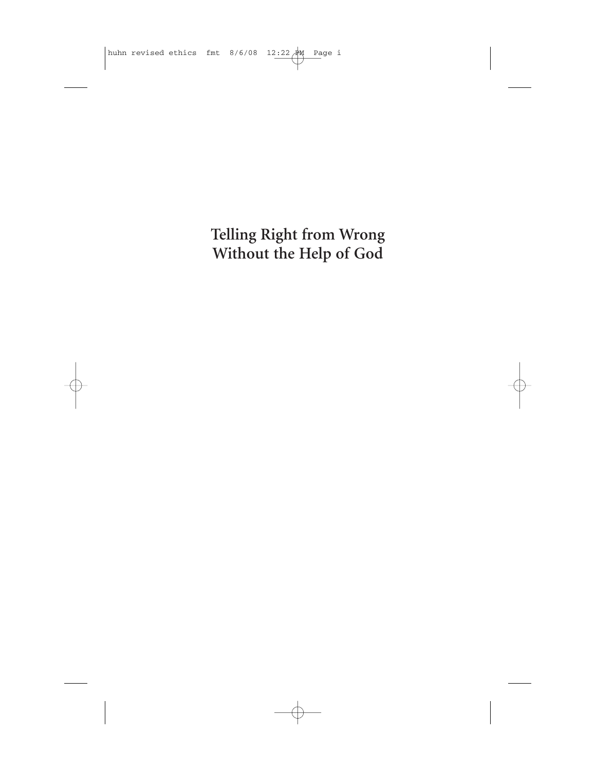**Telling Right from Wrong Without the Help of God**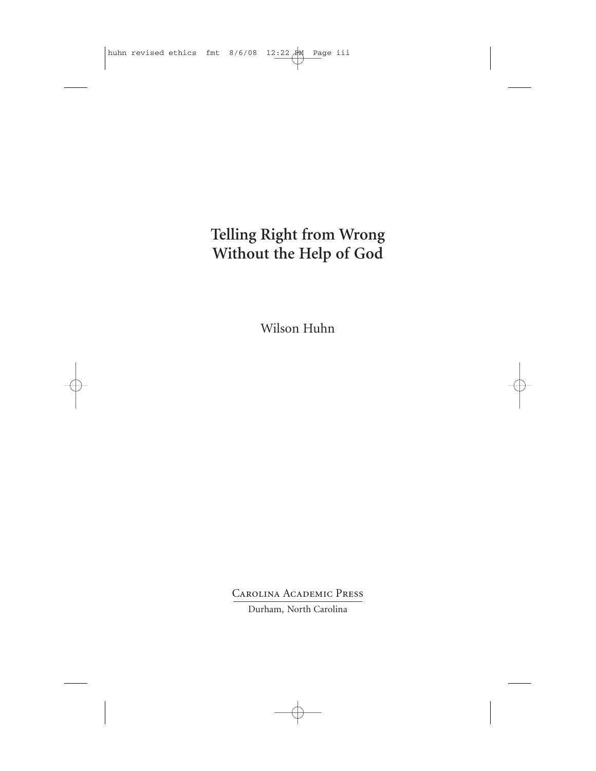## **Telling Right from Wrong Without the Help of God**

Wilson Huhn

Carolina Academic Press Durham, North Carolina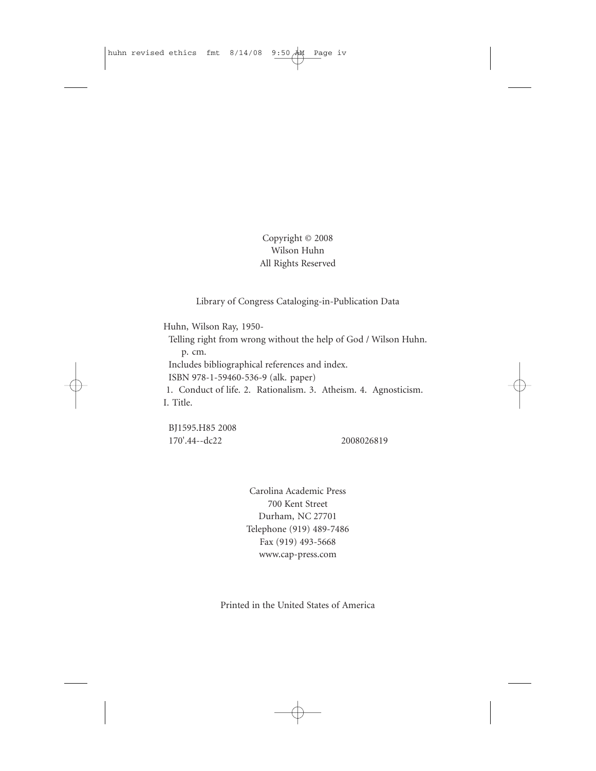## Copyright © 2008 Wilson Huhn All Rights Reserved

Library of Congress Cataloging-in-Publication Data

Huhn, Wilson Ray, 1950-

Telling right from wrong without the help of God / Wilson Huhn. p. cm. Includes bibliographical references and index.

ISBN 978-1-59460-536-9 (alk. paper)

1. Conduct of life. 2. Rationalism. 3. Atheism. 4. Agnosticism. I. Title.

BJ1595.H85 2008 170'.44--dc22 2008026819

Carolina Academic Press 700 Kent Street Durham, NC 27701 Telephone (919) 489-7486 Fax (919) 493-5668 www.cap-press.com

Printed in the United States of America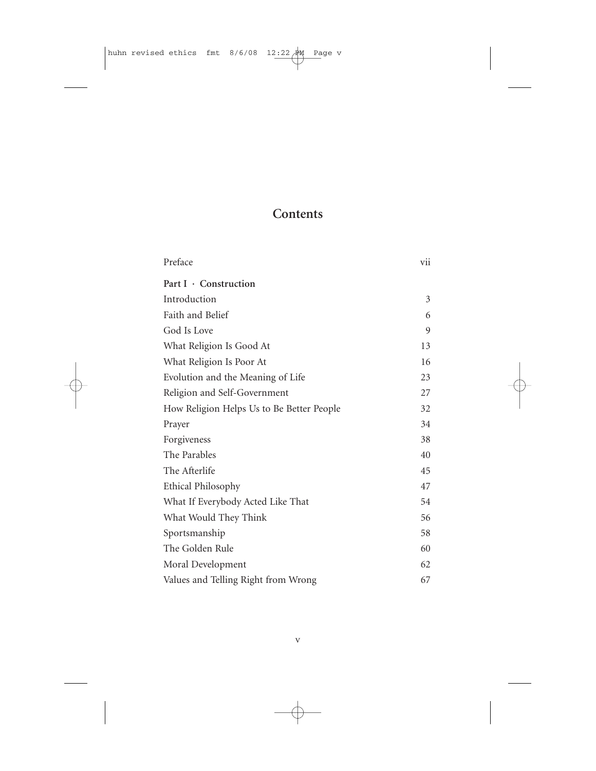## **Contents**

| Preface                                   | vii |
|-------------------------------------------|-----|
| Part I · Construction                     |     |
| Introduction                              | 3   |
| Faith and Belief                          | 6   |
| God Is Love                               | 9   |
| What Religion Is Good At                  | 13  |
| What Religion Is Poor At                  | 16  |
| Evolution and the Meaning of Life         | 23  |
| Religion and Self-Government              | 27  |
| How Religion Helps Us to Be Better People | 32  |
| Prayer                                    | 34  |
| Forgiveness                               | 38  |
| The Parables                              | 40  |
| The Afterlife                             | 45  |
| <b>Ethical Philosophy</b>                 | 47  |
| What If Everybody Acted Like That         | 54  |
| What Would They Think                     | 56  |
| Sportsmanship                             | 58  |
| The Golden Rule                           | 60  |
| Moral Development                         | 62  |
| Values and Telling Right from Wrong       | 67  |
|                                           |     |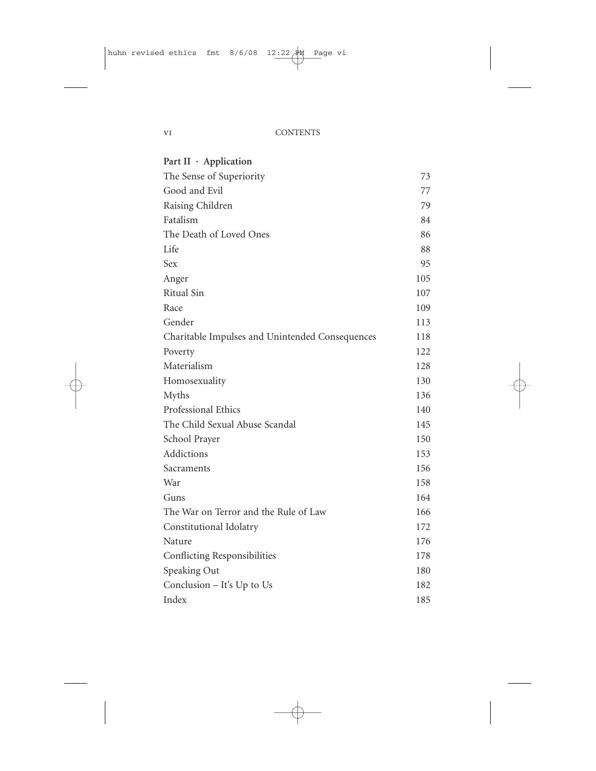| Part II · Application                           |     |
|-------------------------------------------------|-----|
| The Sense of Superiority                        | 73. |
| Good and Evil                                   | 77  |
| Raising Children                                | 79  |
| Fatalism                                        | 84  |
| The Death of Loved Ones                         | 86  |
| Life                                            | 88  |
| <b>Sex</b>                                      | 95  |
| Anger                                           | 105 |
| <b>Ritual Sin</b>                               | 107 |
| Race                                            | 109 |
| Gender                                          | 113 |
| Charitable Impulses and Unintended Consequences | 118 |
| Poverty                                         | 122 |
| Materialism                                     | 128 |
| Homosexuality                                   | 130 |
| Myths                                           | 136 |
| Professional Ethics                             | 140 |
| The Child Sexual Abuse Scandal                  | 145 |
| School Prayer                                   | 150 |
| Addictions                                      | 153 |
| Sacraments                                      | 156 |
| War                                             | 158 |
| Guns                                            | 164 |
| The War on Terror and the Rule of Law           | 166 |
| Constitutional Idolatry                         | 172 |
| Nature                                          | 176 |
| Conflicting Responsibilities                    | 178 |
| Speaking Out                                    | 180 |
| Conclusion $-$ It's Up to Us                    | 182 |
| Index                                           | 185 |